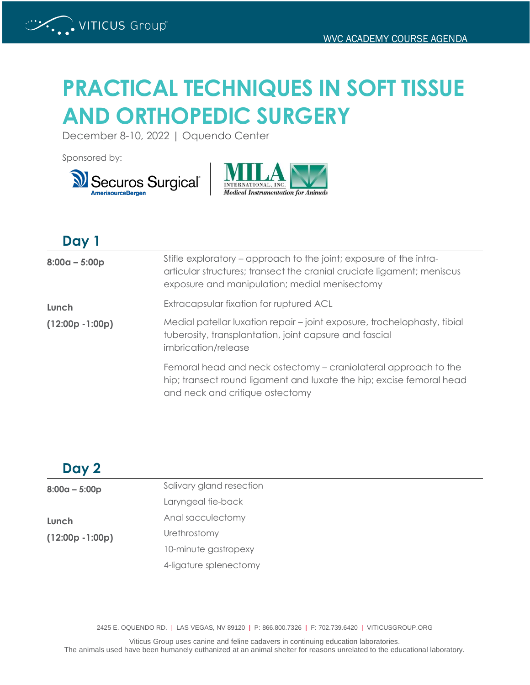

## **PRACTICAL TECHNIQUES IN SOFT TISSUE AND ORTHOPEDIC SURGERY**

December 8-10, 2022 | Oquendo Center

Sponsored by:

**Day 1**





| $\sim$ $\sim$ $\sim$ $\sim$ |                                                                                                                                                                                               |
|-----------------------------|-----------------------------------------------------------------------------------------------------------------------------------------------------------------------------------------------|
| $8:00a - 5:00p$             | Stifle exploratory – approach to the joint; exposure of the intra-<br>articular structures; transect the cranial cruciate ligament; meniscus<br>exposure and manipulation; medial menisectomy |
| Lunch                       | Extracapsular fixation for ruptured ACL                                                                                                                                                       |
| $(12:00p - 1:00p)$          | Medial patellar luxation repair – joint exposure, trochelophasty, tibial<br>tuberosity, transplantation, joint capsure and fascial<br>imbrication/release                                     |
|                             | Femoral head and neck ostectomy – craniolateral approach to the<br>hip; transect round ligament and luxate the hip; excise femoral head<br>and neck and critique ostectomy                    |

## **Day 2**

| 8:00a – 5:00p      | Salivary gland resection |  |
|--------------------|--------------------------|--|
|                    | Laryngeal tie-back       |  |
| Lunch              | Anal sacculectomy        |  |
| $(12:00p - 1:00p)$ | Urethrostomy             |  |
|                    | 10-minute gastropexy     |  |
|                    | 4-ligature splenectomy   |  |

2425 E. OQUENDO RD. | LAS VEGAS, NV 89120 | P: 866.800.7326 | F: 702.739.6420 | VITICUSGROUP.ORG